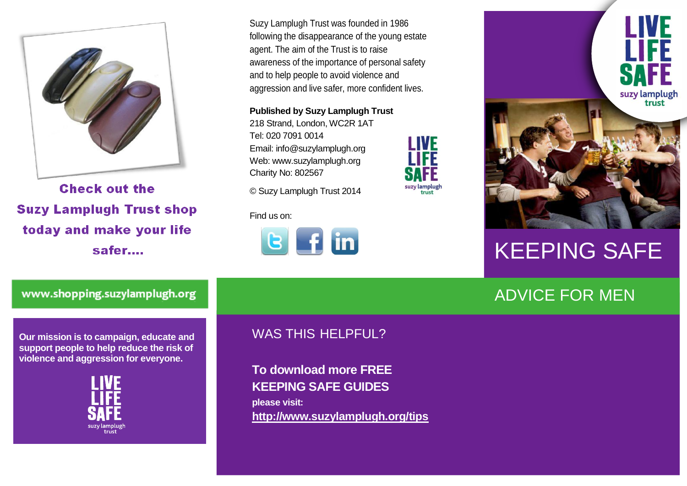

**Check out the Suzy Lamplugh Trust shop** today and make your life safer....

Suzy Lamplugh Trust was founded in 1986 following the disappearance of the young estate agent. The aim of the Trust is to raise awareness of the importance of personal safety and to help people to avoid violence and aggression and live safer, more confident lives.

**IVF** 

suzy lamplugh<br>trust

**Published by Suzy Lamplugh Trust**

218 Strand, London, WC2R 1AT Tel: 020 7091 0014 Email: info@suzylamplugh.org Web: www.suzylamplugh.org Charity No: 802567

© Suzy Lamplugh Trust 2014

Find us on:





## KEEPING SAFE

## ADVICE FOR MEN

www.shopping.suzylamplugh.org

**Our mission is to campaign, educate and support people to help reduce the risk of violence and aggression for everyone.** 



## WAS THIS HELPFUL?

**To download more FREE KEEPING SAFE GUIDES please visit: <http://www.suzylamplugh.org/tips>**